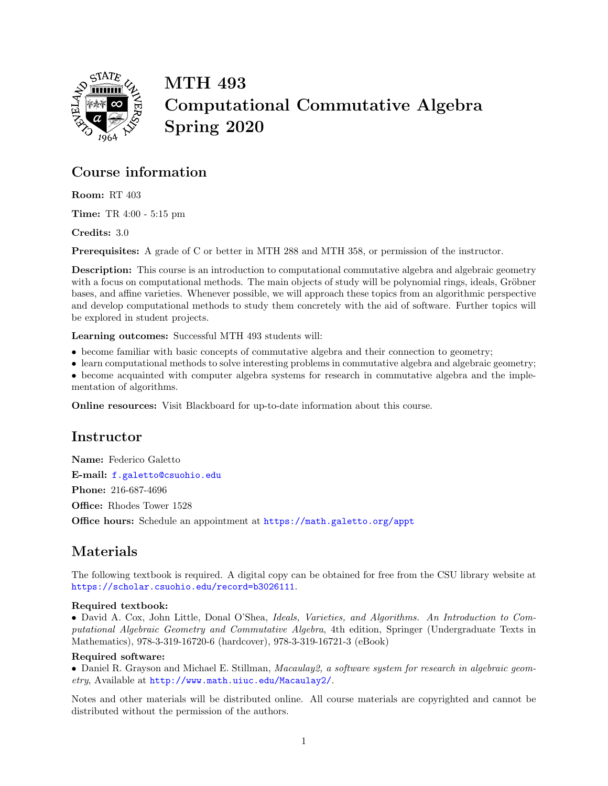

MTH 493 Computational Commutative Algebra Spring 2020

### Course information

Room: RT 403

Time: TR 4:00 - 5:15 pm

Credits: 3.0

Prerequisites: A grade of C or better in MTH 288 and MTH 358, or permission of the instructor.

Description: This course is an introduction to computational commutative algebra and algebraic geometry with a focus on computational methods. The main objects of study will be polynomial rings, ideals, Gröbner bases, and affine varieties. Whenever possible, we will approach these topics from an algorithmic perspective and develop computational methods to study them concretely with the aid of software. Further topics will be explored in student projects.

Learning outcomes: Successful MTH 493 students will:

- become familiar with basic concepts of commutative algebra and their connection to geometry;
- learn computational methods to solve interesting problems in commutative algebra and algebraic geometry;
- become acquainted with computer algebra systems for research in commutative algebra and the imple-

mentation of algorithms.

Online resources: Visit Blackboard for up-to-date information about this course.

### Instructor

Name: Federico Galetto E-mail: [f.galetto@csuohio.edu](mailto:f.galetto@csuohio.edu) Phone: 216-687-4696 Office: Rhodes Tower 1528 Office hours: Schedule an appointment at [https://math.galetto.org/appt](https://doodle.com/mm/federicogaletto/make-appointment)

## Materials

The following textbook is required. A digital copy can be obtained for free from the CSU library website at <https://scholar.csuohio.edu/record=b3026111>.

### Required textbook:

• David A. Cox, John Little, Donal O'Shea, Ideals, Varieties, and Algorithms. An Introduction to Computational Algebraic Geometry and Commutative Algebra, 4th edition, Springer (Undergraduate Texts in Mathematics), 978-3-319-16720-6 (hardcover), 978-3-319-16721-3 (eBook)

#### Required software:

• Daniel R. Grayson and Michael E. Stillman, Macaulay 2, a software system for research in algebraic geometry, Available at <http://www.math.uiuc.edu/Macaulay2/>.

Notes and other materials will be distributed online. All course materials are copyrighted and cannot be distributed without the permission of the authors.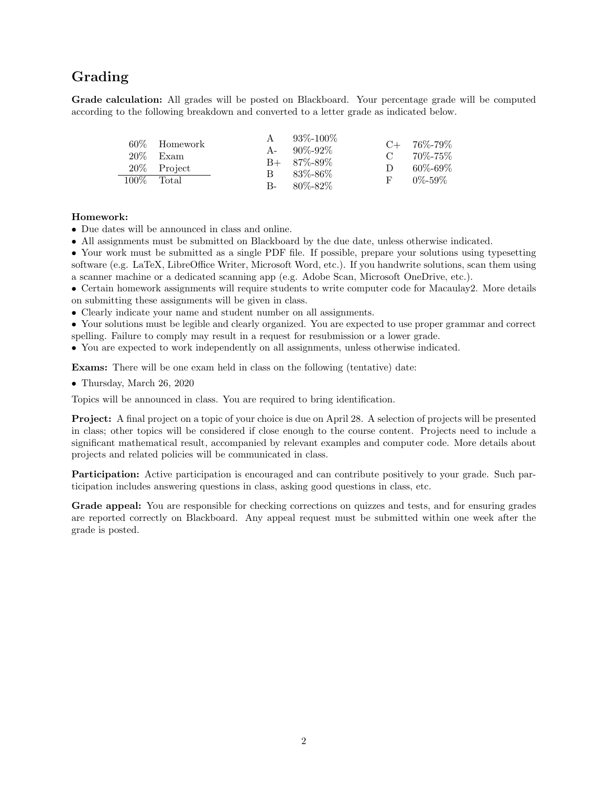## Grading

Grade calculation: All grades will be posted on Blackboard. Your percentage grade will be computed according to the following breakdown and converted to a letter grade as indicated below.

|               | 60\% Homework |      | $93\% - 100\%$    |               | $C+ 76\% - 79\%$ |
|---------------|---------------|------|-------------------|---------------|------------------|
|               |               |      | $A - 90\% - 92\%$ |               |                  |
|               | 20% Exam      |      |                   | $\mathcal{C}$ | 70%-75%          |
|               |               |      | $B+ 87\% - 89\%$  |               |                  |
|               | 20\% Project  |      |                   | $\Box$        | $60\% - 69\%$    |
| $100\%$ Total |               | B.   | 83%-86%           |               | $0\% - 59\%$     |
|               |               | $B-$ | - 80%-82%         |               |                  |

#### Homework:

- Due dates will be announced in class and online.
- All assignments must be submitted on Blackboard by the due date, unless otherwise indicated.

• Your work must be submitted as a single PDF file. If possible, prepare your solutions using typesetting software (e.g. LaTeX, LibreOffice Writer, Microsoft Word, etc.). If you handwrite solutions, scan them using a scanner machine or a dedicated scanning app (e.g. Adobe Scan, Microsoft OneDrive, etc.).

• Certain homework assignments will require students to write computer code for Macaulay2. More details on submitting these assignments will be given in class.

• Clearly indicate your name and student number on all assignments.

• Your solutions must be legible and clearly organized. You are expected to use proper grammar and correct spelling. Failure to comply may result in a request for resubmission or a lower grade.

• You are expected to work independently on all assignments, unless otherwise indicated.

Exams: There will be one exam held in class on the following (tentative) date:

• Thursday, March 26, 2020

Topics will be announced in class. You are required to bring identification.

Project: A final project on a topic of your choice is due on April 28. A selection of projects will be presented in class; other topics will be considered if close enough to the course content. Projects need to include a significant mathematical result, accompanied by relevant examples and computer code. More details about projects and related policies will be communicated in class.

Participation: Active participation is encouraged and can contribute positively to your grade. Such participation includes answering questions in class, asking good questions in class, etc.

Grade appeal: You are responsible for checking corrections on quizzes and tests, and for ensuring grades are reported correctly on Blackboard. Any appeal request must be submitted within one week after the grade is posted.